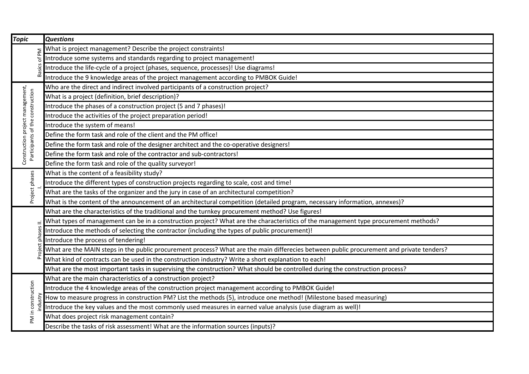| <b>Topic</b>                                                         | <b>Questions</b>                                                                                                                         |
|----------------------------------------------------------------------|------------------------------------------------------------------------------------------------------------------------------------------|
|                                                                      | What is project management? Describe the project constraints!                                                                            |
|                                                                      | Introduce some systems and standards regarding to project management!                                                                    |
|                                                                      | Introduce the life-cycle of a project (phases, sequence, processes)! Use diagrams!                                                       |
|                                                                      | Introduce the 9 knowledge areas of the project management according to PMBOK Guide!                                                      |
| Construction project management,<br>Participants of the construction | Who are the direct and indirect involved participants of a construction project?                                                         |
|                                                                      | What is a project (definition, brief description)?                                                                                       |
|                                                                      | Introduce the phases of a construction project (5 and 7 phases)!                                                                         |
|                                                                      | Introduce the activities of the project preparation period!                                                                              |
|                                                                      | Introduce the system of means!                                                                                                           |
|                                                                      | Define the form task and role of the client and the PM office!                                                                           |
|                                                                      | Define the form task and role of the designer architect and the co-operative designers!                                                  |
|                                                                      | Define the form task and role of the contractor and sub-contractors!                                                                     |
|                                                                      | Define the form task and role of the quality surveyor!                                                                                   |
| Project phases                                                       | What is the content of a feasibility study?                                                                                              |
|                                                                      | Introduce the different types of construction projects regarding to scale, cost and time!                                                |
|                                                                      | What are the tasks of the organizer and the jury in case of an architectural competition?                                                |
|                                                                      | What is the content of the announcement of an architectural competition (detailed program, necessary information, annexes)?              |
|                                                                      | What are the characteristics of the traditional and the turnkey procurement method? Use figures!                                         |
|                                                                      | What types of management can be in a construction project? What are the characteristics of the management type procurement methods?      |
|                                                                      | Introduce the methods of selecting the contractor (including the types of public procurement)!                                           |
|                                                                      | Introduce the process of tendering!                                                                                                      |
|                                                                      | What are the MAIN steps in the public procurement process? What are the main differecies between public procurement and private tenders? |
|                                                                      | What kind of contracts can be used in the construction industry? Write a short explanation to each!                                      |
|                                                                      | What are the most important tasks in supervising the construction? What should be controlled during the construction process?            |
| PM in construction                                                   | What are the main characteristics of a construction project?                                                                             |
|                                                                      | Introduce the 4 knowledge areas of the construction project management according to PMBOK Guide!                                         |
|                                                                      | How to measure progress in construction PM? List the methods (5), introduce one method! (Milestone based measuring)                      |
|                                                                      | Introduce the key values and the most commonly used measures in earned value analysis (use diagram as well)!                             |
|                                                                      | What does project risk management contain?                                                                                               |
|                                                                      | Describe the tasks of risk assessment! What are the information sources (inputs)?                                                        |